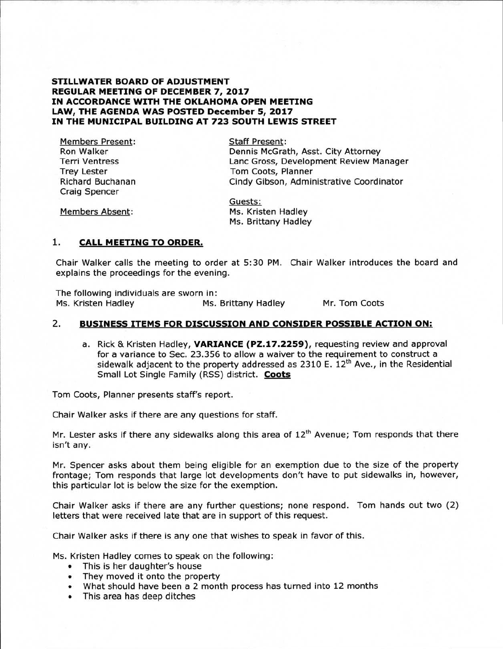#### **STILLWATER BOARD OF ADJUSTMENT REGULAR MEETING OF DECEMBER 7, 2017 IN ACCORDANCE WITH THE OKLAHOMA OPEN MEETING LAW, THE AGENDA WAS POSTED December 5, 2017 IN THE MUNICIPAL BUILDING AT 723 SOUTH LEWIS STREET**

Members Present: Ron Walker Terri Ventress Trey Lester Richard Buchanan Craig Spencer

Staff Present: Dennis McGrath, Asst. City Attorney Lanc Gross, Development Review Manager Tom Coots, Planner Cindy Gibson, Administrative Coordinator

Members Absent:

Guests: Ms. Kristen Hadley Ms. Brittany Hadley

## **1. CALL MEETING TO ORDER.**

Chair Walker calls the meeting to order at 5:30 PM. Chair Walker introduces the board and explains the proceedings for the evening.

The following individuals are sworn in:<br>Ms. Kristen Hadley Ms. Ms. Brittany Hadley Mr. Tom Coots

## 2. **BUSINESS ITEMS FOR DISCUSSION AND CONSIDER POSSIBLE ACTION ON:**

a. Rick & Kristen Hadley, **VARIANCE (PZ.17.2259),** requesting review and approval for a variance to Sec. 23.356 to allow a waiver to the requirement to construct a sidewalk adjacent to the property addressed as 2310 E.  $12<sup>th</sup>$  Ave., in the Residential Small Lot Single Family (RSS) district. **Coots** 

Tom Coots, Planner presents staff's report.

Chair Walker asks if there are any questions for staff.

Mr. Lester asks if there any sidewalks along this area of  $12<sup>th</sup>$  Avenue; Tom responds that there isn't any.

Mr. Spencer asks about them being eligible for an exemption due to the size of the property frontage; Tom responds that large lot developments don't have to put sidewalks in, however, this particular lot is below the size for the exemption.

Chair Walker asks if there are any further questions; none respond. Tom hands out two (2) letters that were received late that are in support of this request.

Chair Walker asks if there is any one that wishes to speak in favor of this.

Ms. Kristen Hadley comes to speak on the following:

- This is her daughter's house
- They moved it onto the property
- What should have been a 2 month process has turned into 12 months
- This area has deep ditches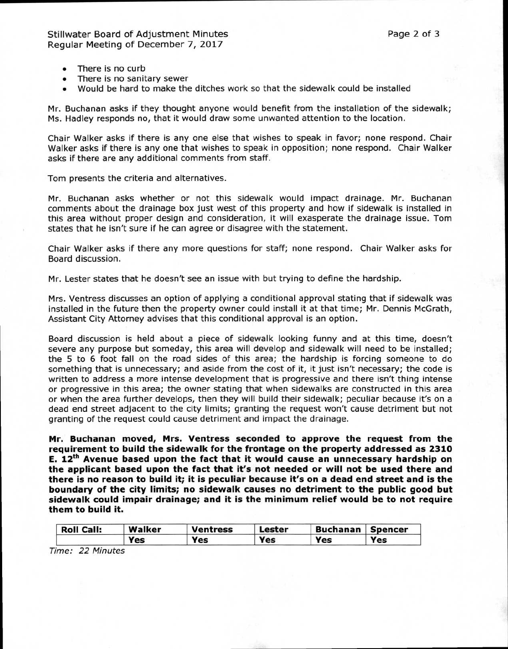- There is no curb
- There is no sanitary sewer
- Would be hard to make the ditches work so that the sidewalk could be installed

Mr. Buchanan asks if they thought anyone would benefit from the installation of the sidewalk; Ms. Hadley responds no, that it would draw some unwanted attention to the location.

Chair Walker asks if there is any one else that wishes to speak in favor; none respond. Chair Walker asks if there is any one that wishes to speak in opposition; none respond. Chair Walker asks if there are any additional comments from staff.

Tom presents the criteria and alternatives.

Mr. Buchanan asks whether or not this sidewalk would impact drainage. Mr. Buchanan comments about the drainage box just west of this property and how if sidewalk is installed in this area without proper design and consideration, it will exasperate the drainage issue. Tom states that he isn't sure if he can agree or disagree with the statement.

Chair Walker asks if there any more questions for staff; none respond. Chair Walker asks for Board discussion.

Mr. Lester states that he doesn't see an issue with but trying to define the hardship.

Mrs. Ventress discusses an option of applying a conditional approval stating that if sidewalk was installed in the future then the property owner could install it at that time; Mr. Dennis McGrath, Assistant City Attorney advises that this conditional approval is an option.

Board discussion is held about a piece of sidewalk looking funny and at this time, doesn't severe any purpose but someday, this area will develop and sidewalk will need to be installed; the 5 to 6 foot fall on the road sides of this area; the hardship is forcing someone to do something that is unnecessary; and aside from the cost of it, it just isn't necessary; the code is written to address a more intense development that is progressive and there isn't thing intense or progressive in this area; the owner stating that when sidewalks are constructed in this area or when the area further develops, then they will build their sidewalk; peculiar because it's on a dead end street adjacent to the city limits; granting the request won't cause detriment but not granting of the request could cause detriment and impact the drainage.

**Mr. Buchanan moved, Mrs. Ventress seconded to approve the request from the requirement to build the sidewalk for the frontage on the property addressed as 2310 E. 12th Avenue based upon the fact that it would cause an unnecessary hardship on the applicant based upon the fact that it's not needed or will not be used there and there is no reason to build it; it is peculiar because it's on a dead end street and is the boundary of the city limits; no sidewalk causes no detriment to the public good but sidewalk could impair drainage; and it is the minimum relief would be to not require them to build it.** 

| <b>Roll Call:</b> | Walker | <b>Ventress</b> | Lester | Buchanan   Spencer |     |
|-------------------|--------|-----------------|--------|--------------------|-----|
|                   | Yes    | Yes             | Yes    | Yes                | Yes |

Time: 22 Minutes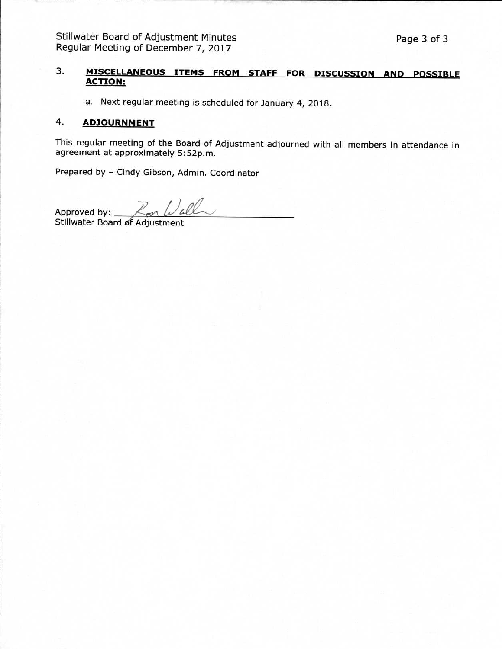# **3. MISCELLANEOUS ITEMS FROM STAFF FOR DISCUSSION AND POSSIBLE ACTION:**

a. Next regular meeting is scheduled for January 4, 2018.

#### **4. ADJOURNMENT**

This regular meeting of the Board of Adjustment adjourned with all members in attendance in agreement at approximately 5:52p.m.

Prepared by - Cindy Gibson, Admin. Coordinator

Approved by:

Stillwater Board of Adjustment